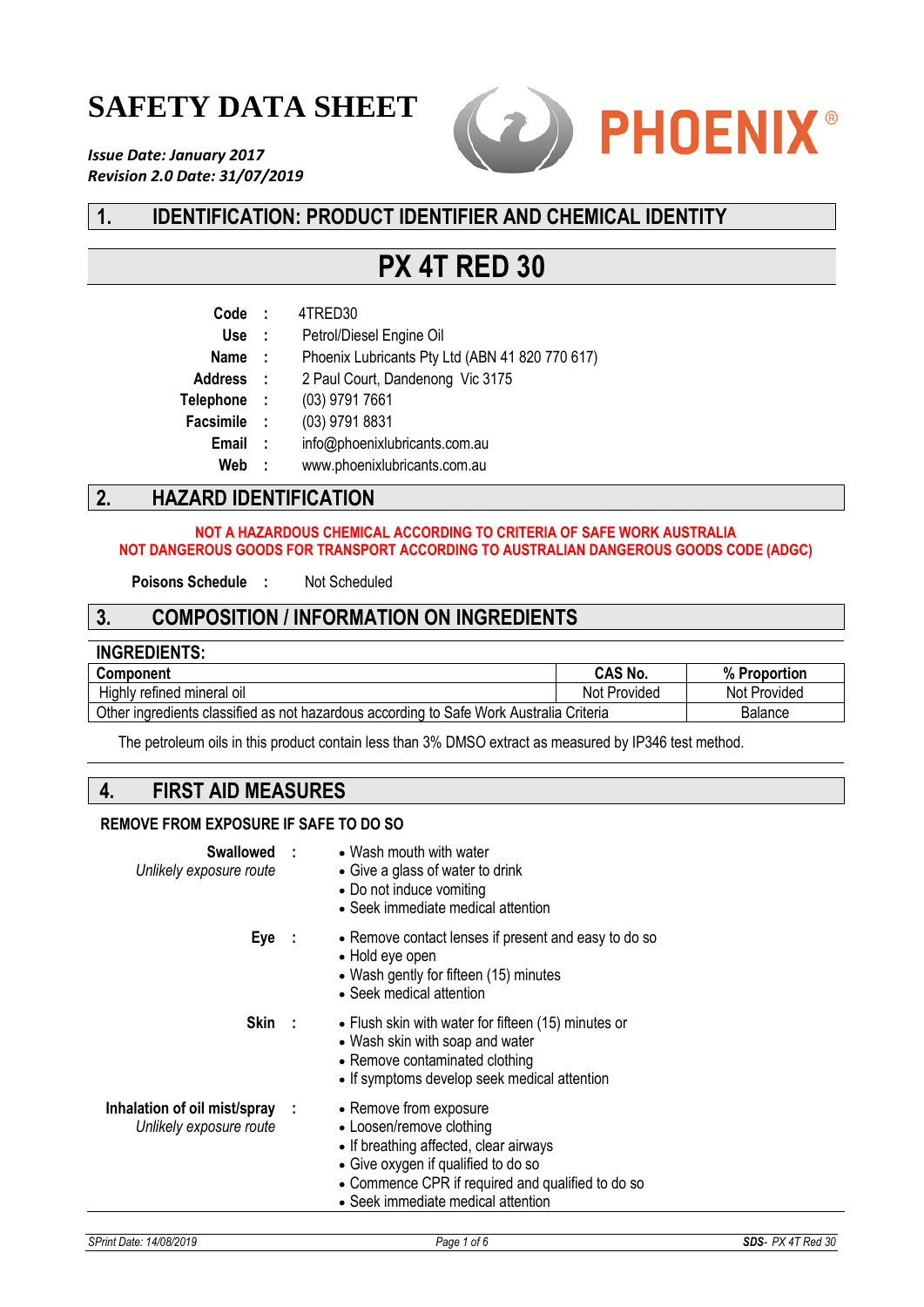# **SAFETY DATA SHEET**

*Issue Date: January 2017 Revision 2.0 Date: 31/07/2019*



# **1. IDENTIFICATION: PRODUCT IDENTIFIER AND CHEMICAL IDENTITY**

# **PX 4T RED 30**

| Code             | $\cdot$ :    | 4TRED30                                         |
|------------------|--------------|-------------------------------------------------|
| <b>Use</b>       | $\mathbf{r}$ | Petrol/Diesel Engine Oil                        |
| <b>Name</b>      | - 11         | Phoenix Lubricants Pty Ltd (ABN 41 820 770 617) |
| <b>Address</b>   | $\sim 10$    | 2 Paul Court, Dandenong Vic 3175                |
| <b>Telephone</b> | - 11         | (03) 9791 7661                                  |
| <b>Facsimile</b> | $\cdot$ :    | (03) 9791 8831                                  |
| Email            | $\mathbf{r}$ | info@phoenixlubricants.com.au                   |
| Web              | - 1          | www.phoenixlubricants.com.au                    |
|                  |              |                                                 |

# **2. HAZARD IDENTIFICATION**

#### **NOT A HAZARDOUS CHEMICAL ACCORDING TO CRITERIA OF SAFE WORK AUSTRALIA NOT DANGEROUS GOODS FOR TRANSPORT ACCORDING TO AUSTRALIAN DANGEROUS GOODS CODE (ADGC)**

**Poisons Schedule :** Not Scheduled

### **3. COMPOSITION / INFORMATION ON INGREDIENTS**

| <b>INGREDIENTS:</b>                                                                     |                |                |
|-----------------------------------------------------------------------------------------|----------------|----------------|
| <b>Component</b>                                                                        | <b>CAS No.</b> | % Proportion   |
| Highly refined mineral oil                                                              | Not Provided   | Not Provided   |
| Other ingredients classified as not hazardous according to Safe Work Australia Criteria |                | <b>Balance</b> |

The petroleum oils in this product contain less than 3% DMSO extract as measured by IP346 test method.

### **4. FIRST AID MEASURES**

#### **REMOVE FROM EXPOSURE IF SAFE TO DO SO**

| Swallowed :<br>Unlikely exposure route                    | • Wash mouth with water<br>• Give a glass of water to drink<br>• Do not induce vomiting<br>• Seek immediate medical attention                                                                                                  |
|-----------------------------------------------------------|--------------------------------------------------------------------------------------------------------------------------------------------------------------------------------------------------------------------------------|
| Eye :                                                     | • Remove contact lenses if present and easy to do so<br>• Hold eye open<br>• Wash gently for fifteen (15) minutes<br>• Seek medical attention                                                                                  |
| Skin :                                                    | • Flush skin with water for fifteen (15) minutes or<br>• Wash skin with soap and water<br>• Remove contaminated clothing<br>• If symptoms develop seek medical attention                                                       |
| Inhalation of oil mist/spray :<br>Unlikely exposure route | • Remove from exposure<br>• Loosen/remove clothing<br>• If breathing affected, clear airways<br>• Give oxygen if qualified to do so<br>• Commence CPR if required and qualified to do so<br>• Seek immediate medical attention |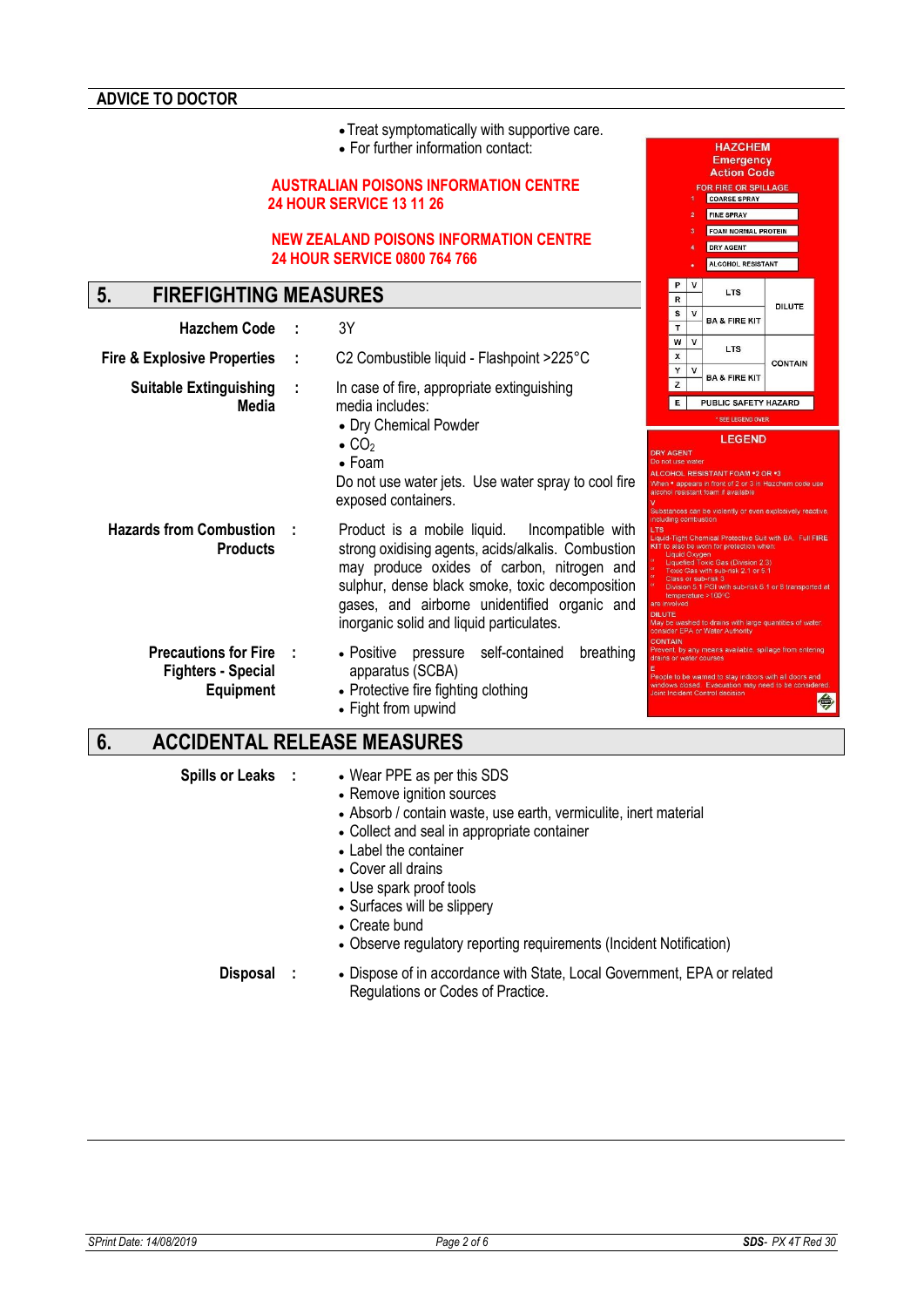- •Treat symptomatically with supportive care.
- For further information contact:

#### **AUSTRALIAN POISONS INFORMATION CENTRE 24 HOUR SERVICE 13 11 26**

#### **NEW ZEALAND POISONS INFORMATION CENTRE 24 HOUR SERVICE 0800 764 766**

# **5. FIREFIGHTING MEASURES**

| <b>Hazchem Code</b>                                                            |   | 3Y                                                                                                                                                                                                                                                                                                  |                                                                     | т                    |                  | DA & FIRE RII                                                                                                                                                                                                                                                                                                                                                                                   |                |  |
|--------------------------------------------------------------------------------|---|-----------------------------------------------------------------------------------------------------------------------------------------------------------------------------------------------------------------------------------------------------------------------------------------------------|---------------------------------------------------------------------|----------------------|------------------|-------------------------------------------------------------------------------------------------------------------------------------------------------------------------------------------------------------------------------------------------------------------------------------------------------------------------------------------------------------------------------------------------|----------------|--|
| <b>Fire &amp; Explosive Properties</b>                                         |   | C2 Combustible liquid - Flashpoint >225°C                                                                                                                                                                                                                                                           |                                                                     | w<br>X<br>Υ          | v<br>$\mathbf v$ | <b>LTS</b>                                                                                                                                                                                                                                                                                                                                                                                      | <b>CONTAIN</b> |  |
| <b>Suitable Extinguishing</b><br>Media                                         | ÷ | In case of fire, appropriate extinguishing<br>media includes:<br>• Dry Chemical Powder<br>$\bullet$ CO <sub>2</sub><br>$\bullet$ Foam<br>Do not use water jets. Use water spray to cool fire<br>exposed containers.                                                                                 | <b>DRY AGENT</b><br>Do not use water                                | z<br>E               |                  | <b>BA &amp; FIRE KIT</b><br>PUBLIC SAFETY HAZARD<br>* SEE LEGEND OVER<br><b>LEGEND</b><br>ALCOHOL RESISTANT FOAM *2 OR *3<br>When • appears in front of 2 or 3 in Hazchem code use<br>alcohol resistant foam if available<br>Substances can be violently or even explosively reactive                                                                                                           |                |  |
| <b>Hazards from Combustion</b><br><b>Products</b>                              |   | Product is a mobile liquid.<br>Incompatible with<br>strong oxidising agents, acids/alkalis. Combustion<br>may produce oxides of carbon, nitrogen and<br>sulphur, dense black smoke, toxic decomposition<br>gases, and airborne unidentified organic and<br>inorganic solid and liquid particulates. | including combustion<br><b>LTS</b><br>are involved<br><b>DILUTE</b> | <b>Liquid Oxygen</b> |                  | Liquid-Tight Chemical Protective Suit with BA. Full FIRE<br>KIT to also be worn for protection when:<br>Liquefied Toxic Gas (Division 2.3)<br>Toxic Gas with sub-risk 2.1 or 5.1<br>Class or sub-risk 3<br>Division 5.1 PGI with sub-risk 6.1 or 8 transported at<br>temperature $>100^{\circ}$ C<br>May be washed to drains with large quantities of water.<br>consider EPA or Water Authority |                |  |
| <b>Precautions for Fire :</b><br><b>Fighters - Special</b><br><b>Equipment</b> |   | pressure self-contained<br>• Positive<br>breathing<br>apparatus (SCBA)<br>• Protective fire fighting clothing<br>• Fight from upwind                                                                                                                                                                | <b>CONTAIN</b>                                                      |                      |                  | Prevent, by any means available, spillage from entering<br>drains or water courses<br>People to be warned to stay indoors with all doors and<br>windows closed. Evacuation may need to be considered<br>Joint Incident Control decision                                                                                                                                                         |                |  |

# **6. ACCIDENTAL RELEASE MEASURES**

- **Spills or Leaks :** Wear PPE as per this SDS
	- Remove ignition sources
	- Absorb / contain waste, use earth, vermiculite, inert material
	- Collect and seal in appropriate container
	- Label the container
	- Cover all drains
	- Use spark proof tools
	- Surfaces will be slippery
	- Create bund
	- Observe regulatory reporting requirements (Incident Notification)

**Disposal :** • Dispose of in accordance with State, Local Government, EPA or related Regulations or Codes of Practice.

**HAZCHEM** Emergency<br>Action Code FOR FIRE OR SPILLA **COARSE SPRAY** FINE SPRAY FOAM NORMAL PROTEIN DRY AGENT ALCOHOL RESISTANT

LTS

**DILUTE** 

 $\overline{R}$ 

 $\overline{\mathbf{s}}$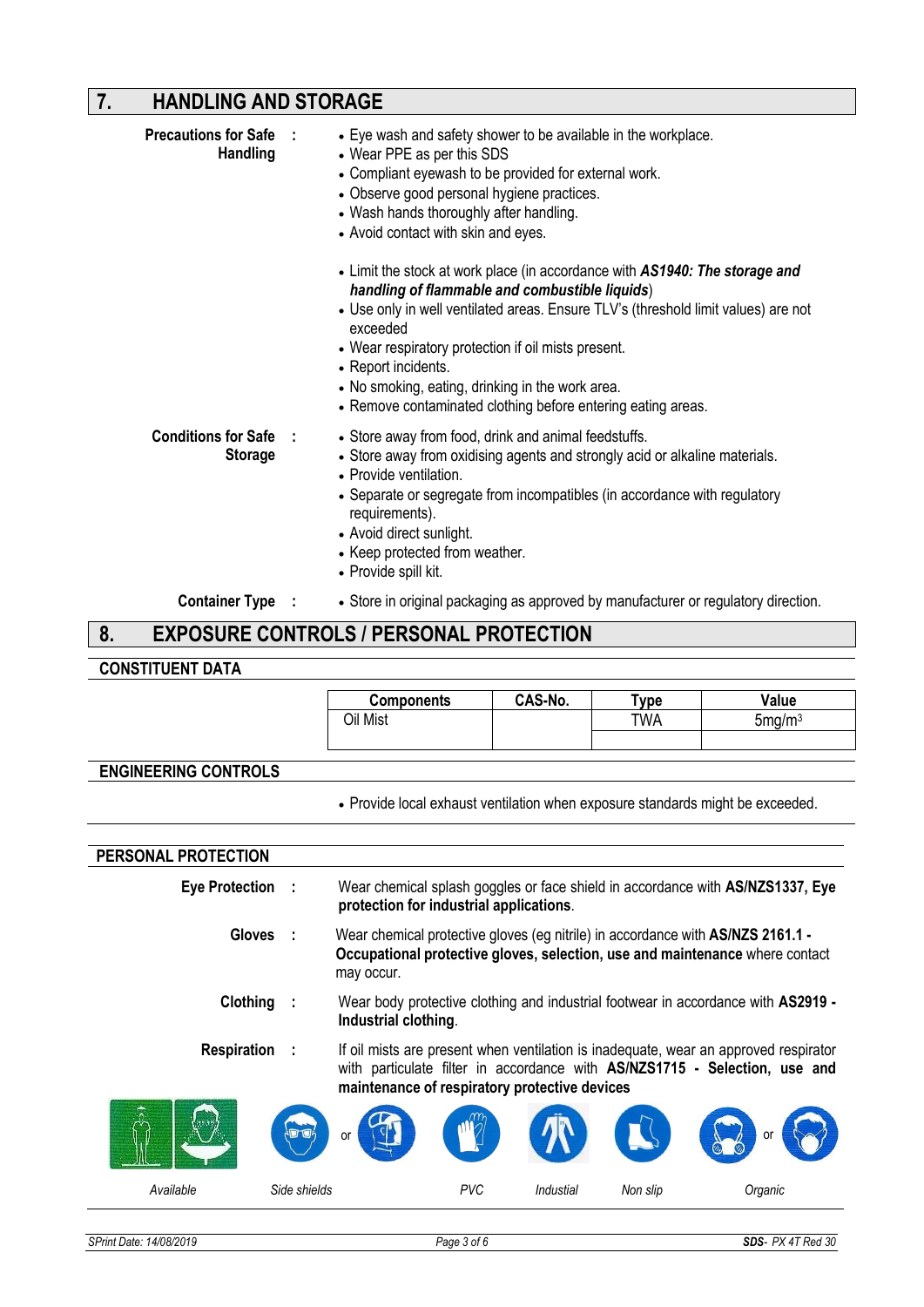# **7. HANDLING AND STORAGE**

| <b>Precautions for Safe :</b><br><b>Handling</b> | • Eye wash and safety shower to be available in the workplace.<br>• Wear PPE as per this SDS<br>• Compliant eyewash to be provided for external work.<br>• Observe good personal hygiene practices.<br>• Wash hands thoroughly after handling.<br>• Avoid contact with skin and eyes.<br>• Limit the stock at work place (in accordance with AS1940: The storage and<br>handling of flammable and combustible liquids)<br>• Use only in well ventilated areas. Ensure TLV's (threshold limit values) are not<br>exceeded<br>• Wear respiratory protection if oil mists present.<br>• Report incidents.<br>• No smoking, eating, drinking in the work area.<br>• Remove contaminated clothing before entering eating areas. |  |
|--------------------------------------------------|----------------------------------------------------------------------------------------------------------------------------------------------------------------------------------------------------------------------------------------------------------------------------------------------------------------------------------------------------------------------------------------------------------------------------------------------------------------------------------------------------------------------------------------------------------------------------------------------------------------------------------------------------------------------------------------------------------------------------|--|
| Conditions for Safe :<br><b>Storage</b>          | • Store away from food, drink and animal feedstuffs.<br>• Store away from oxidising agents and strongly acid or alkaline materials.<br>• Provide ventilation.<br>• Separate or segregate from incompatibles (in accordance with regulatory<br>requirements).<br>• Avoid direct sunlight.<br>• Keep protected from weather.<br>• Provide spill kit.                                                                                                                                                                                                                                                                                                                                                                         |  |
| Container Type :<br>C                            | • Store in original packaging as approved by manufacturer or regulatory direction.<br>EVDORUDE CONTROLO I REDOQUAL RRATECTIONI                                                                                                                                                                                                                                                                                                                                                                                                                                                                                                                                                                                             |  |

### **8. EXPOSURE CONTROLS / PERSONAL PROTECTION**

#### **CONSTITUENT DATA**

|                                    |                                                                                                                                                                                           | <b>Components</b>                                                                                                                                                                                                   | CAS-No. | <b>Type</b> | Value              |
|------------------------------------|-------------------------------------------------------------------------------------------------------------------------------------------------------------------------------------------|---------------------------------------------------------------------------------------------------------------------------------------------------------------------------------------------------------------------|---------|-------------|--------------------|
|                                    |                                                                                                                                                                                           | Oil Mist                                                                                                                                                                                                            |         | TWA         | 5mg/m <sup>3</sup> |
|                                    |                                                                                                                                                                                           |                                                                                                                                                                                                                     |         |             |                    |
|                                    |                                                                                                                                                                                           |                                                                                                                                                                                                                     |         |             |                    |
| <b>ENGINEERING CONTROLS</b>        |                                                                                                                                                                                           |                                                                                                                                                                                                                     |         |             |                    |
|                                    |                                                                                                                                                                                           | . Provide local exhaust ventilation when exposure standards might be exceeded.                                                                                                                                      |         |             |                    |
|                                    |                                                                                                                                                                                           |                                                                                                                                                                                                                     |         |             |                    |
| PERSONAL PROTECTION                |                                                                                                                                                                                           |                                                                                                                                                                                                                     |         |             |                    |
| <b>Eye Protection</b><br>- 1       |                                                                                                                                                                                           | Wear chemical splash goggles or face shield in accordance with AS/NZS1337, Eye<br>protection for industrial applications.                                                                                           |         |             |                    |
| <b>Gloves</b>                      | Wear chemical protective gloves (eg nitrile) in accordance with AS/NZS 2161.1 -<br>$\sim$ 1<br>Occupational protective gloves, selection, use and maintenance where contact<br>may occur. |                                                                                                                                                                                                                     |         |             |                    |
| Clothing                           |                                                                                                                                                                                           | Wear body protective clothing and industrial footwear in accordance with AS2919 -<br>Industrial clothing.                                                                                                           |         |             |                    |
| <b>Respiration</b><br>$\mathbf{L}$ |                                                                                                                                                                                           | If oil mists are present when ventilation is inadequate, wear an approved respirator<br>with particulate filter in accordance with AS/NZS1715 - Selection, use and<br>maintenance of respiratory protective devices |         |             |                    |
|                                    |                                                                                                                                                                                           | Ωr                                                                                                                                                                                                                  |         |             | or                 |

*Available Side shields PVC Industial Non slip Organic*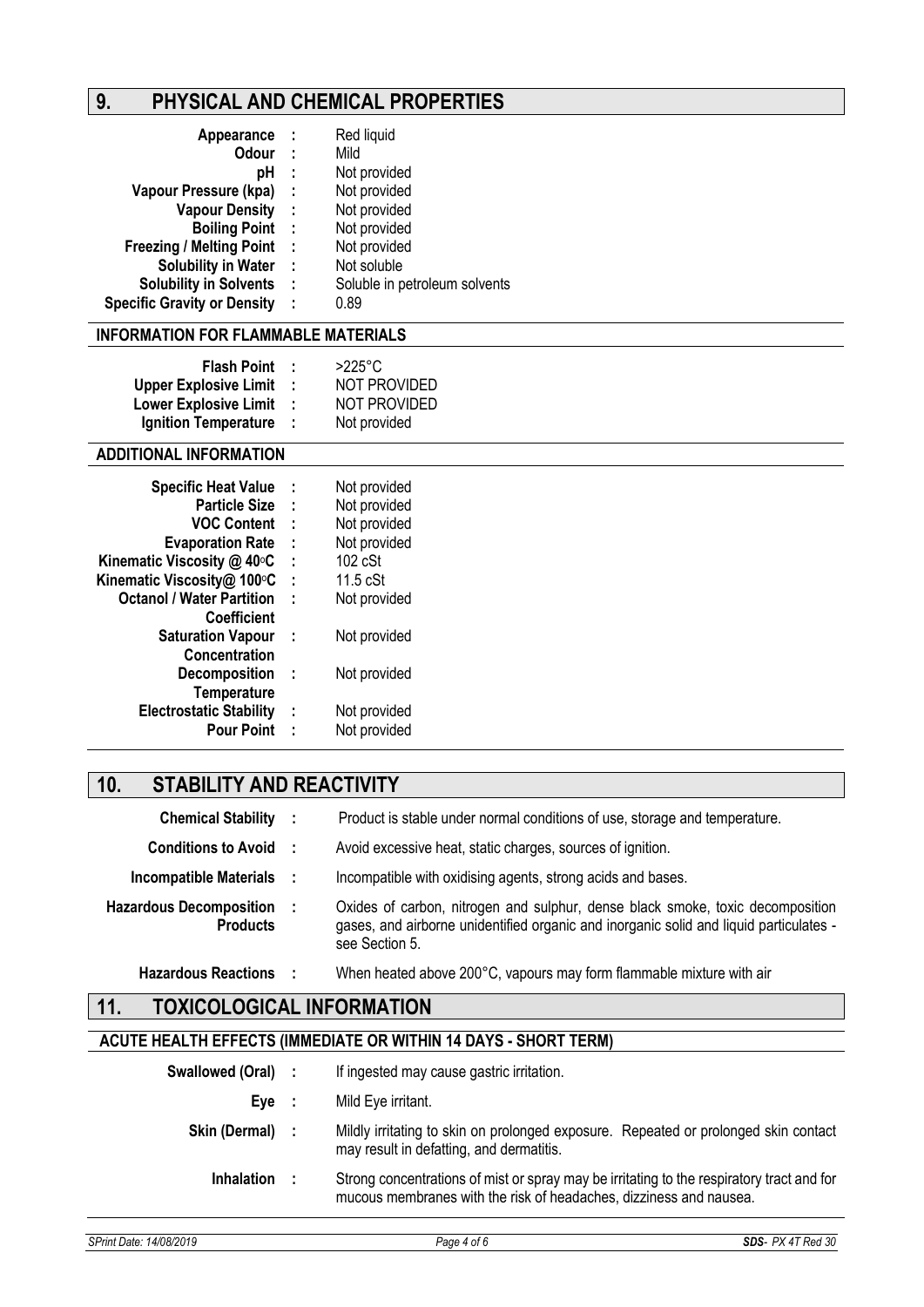# **9. PHYSICAL AND CHEMICAL PROPERTIES**

| Appearance                         | - 1  | Red liquid                    |
|------------------------------------|------|-------------------------------|
| <b>Odour</b>                       | - 11 | Mild                          |
| рH                                 | ÷    | Not provided                  |
| Vapour Pressure (kpa)              | - 1  | Not provided                  |
| <b>Vapour Density</b>              | - 1  | Not provided                  |
| <b>Boiling Point</b>               | - 1  | Not provided                  |
| <b>Freezing / Melting Point</b>    | - 1  | Not provided                  |
| <b>Solubility in Water</b>         | - 1  | Not soluble                   |
| <b>Solubility in Solvents</b>      | - 1  | Soluble in petroleum solvents |
| <b>Specific Gravity or Density</b> | ÷    | 0.89                          |

### **INFORMATION FOR FLAMMABLE MATERIALS**

| <b>Flash Point :</b>    | $>225^\circ$ C |
|-------------------------|----------------|
| Upper Explosive Limit : | NOT PROVIDED   |
| Lower Explosive Limit : | NOT PROVIDED   |
| Ignition Temperature :  | Not provided   |

### **ADDITIONAL INFORMATION**

| <b>Specific Heat Value</b>       | ÷ | Not provided      |
|----------------------------------|---|-------------------|
| <b>Particle Size</b>             | ÷ | Not provided      |
| <b>VOC Content</b>               | ÷ | Not provided      |
| <b>Evaporation Rate</b>          | ÷ | Not provided      |
| Kinematic Viscosity @ 40°C       | ÷ | $102 \text{ cSt}$ |
| Kinematic Viscosity@ 100°C       | t | $11.5$ cSt        |
| <b>Octanol / Water Partition</b> | t | Not provided      |
| <b>Coefficient</b>               |   |                   |
| <b>Saturation Vapour</b>         | ÷ | Not provided      |
| <b>Concentration</b>             |   |                   |
| <b>Decomposition</b>             | ÷ | Not provided      |
| Temperature                      |   |                   |
| <b>Electrostatic Stability</b>   | ÷ | Not provided      |
| <b>Pour Point</b>                | ÷ | Not provided      |

# **10. STABILITY AND REACTIVITY**

| <b>Chemical Stability :</b>                         | Product is stable under normal conditions of use, storage and temperature.                                                                                                                 |
|-----------------------------------------------------|--------------------------------------------------------------------------------------------------------------------------------------------------------------------------------------------|
| <b>Conditions to Avoid :</b>                        | Avoid excessive heat, static charges, sources of ignition.                                                                                                                                 |
| Incompatible Materials :                            | Incompatible with oxidising agents, strong acids and bases.                                                                                                                                |
| <b>Hazardous Decomposition :</b><br><b>Products</b> | Oxides of carbon, nitrogen and sulphur, dense black smoke, toxic decomposition<br>gases, and airborne unidentified organic and inorganic solid and liquid particulates -<br>see Section 5. |
| <b>Hazardous Reactions</b>                          | When heated above 200°C, vapours may form flammable mixture with air                                                                                                                       |

# **11. TOXICOLOGICAL INFORMATION**

# **ACUTE HEALTH EFFECTS (IMMEDIATE OR WITHIN 14 DAYS - SHORT TERM)**

|                    |      | EAL I II EFFEVI Ə UNINEDIA I E VN VIII FIIN 14 DA I Ə - ƏFIVN I TENNI)                                                                                          |
|--------------------|------|-----------------------------------------------------------------------------------------------------------------------------------------------------------------|
| Swallowed (Oral) : |      | If ingested may cause gastric irritation.                                                                                                                       |
| Eve                | - 11 | Mild Eye irritant.                                                                                                                                              |
| Skin (Dermal) :    |      | Mildly irritating to skin on prolonged exposure. Repeated or prolonged skin contact<br>may result in defatting, and dermatitis.                                 |
| <b>Inhalation</b>  |      | Strong concentrations of mist or spray may be irritating to the respiratory tract and for<br>mucous membranes with the risk of headaches, dizziness and nausea. |
|                    |      |                                                                                                                                                                 |

*SPrint Date: 14/08/2019 Page 4 of 6 SDS- PX 4T Red 30*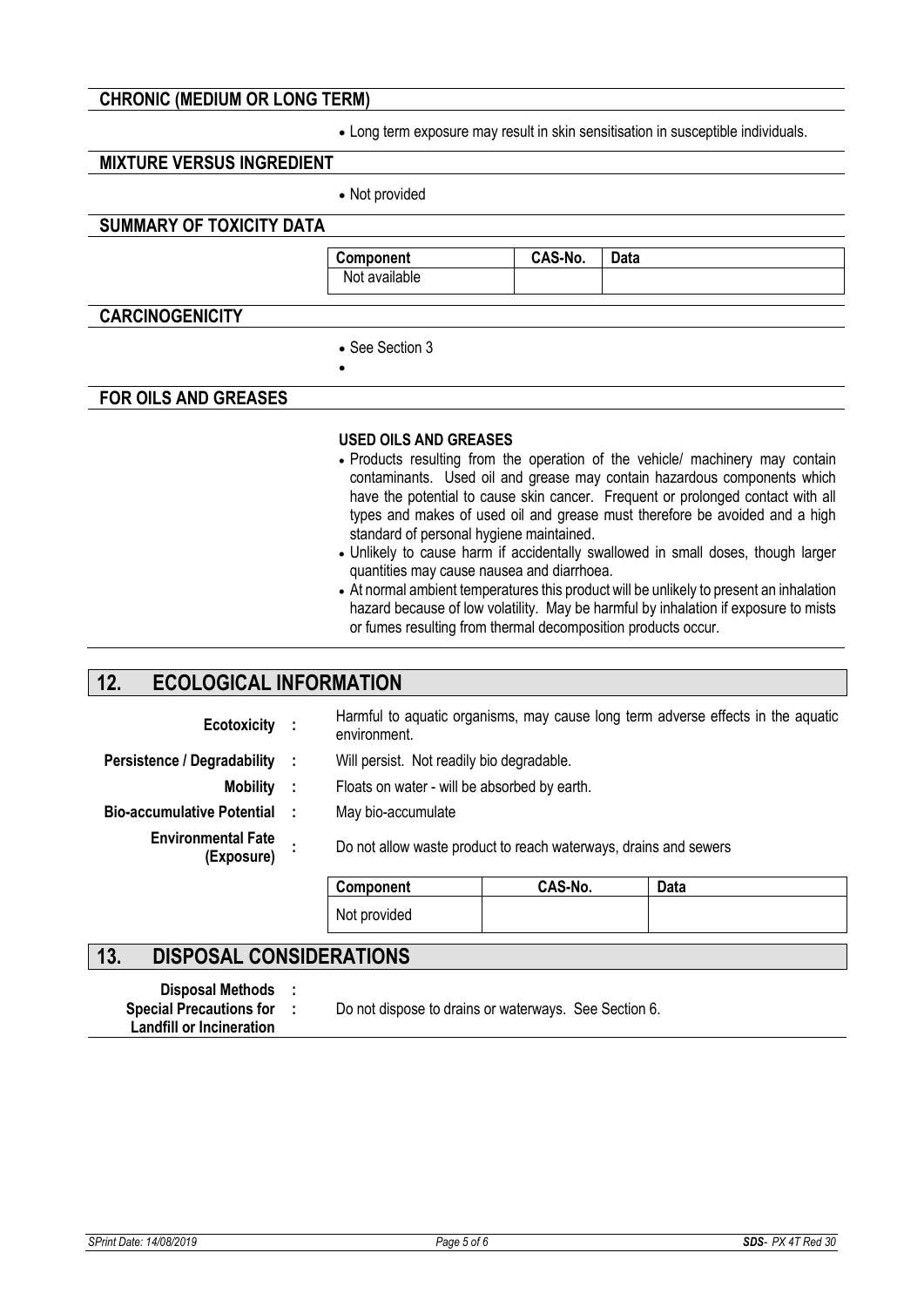#### **CHRONIC (MEDIUM OR LONG TERM)**

• Long term exposure may result in skin sensitisation in susceptible individuals.

### **MIXTURE VERSUS INGREDIENT**

• Not provided

### **SUMMARY OF TOXICITY DATA**

**Component CAS-No. Data**  Not available

### **CARCINOGENICITY**

• See Section 3

•

#### **FOR OILS AND GREASES**

#### **USED OILS AND GREASES**

- Products resulting from the operation of the vehicle/ machinery may contain contaminants. Used oil and grease may contain hazardous components which have the potential to cause skin cancer. Frequent or prolonged contact with all types and makes of used oil and grease must therefore be avoided and a high standard of personal hygiene maintained.
- Unlikely to cause harm if accidentally swallowed in small doses, though larger quantities may cause nausea and diarrhoea.
- At normal ambient temperatures this product will be unlikely to present an inhalation hazard because of low volatility. May be harmful by inhalation if exposure to mists or fumes resulting from thermal decomposition products occur.

## **12. ECOLOGICAL INFORMATION**

| Ecotoxicity :                           |           | Harmful to aquatic organisms, may cause long term adverse effects in the aquatic<br>environment. |                                              |             |  |  |  |
|-----------------------------------------|-----------|--------------------------------------------------------------------------------------------------|----------------------------------------------|-------------|--|--|--|
| <b>Persistence / Degradability</b>      |           | Will persist. Not readily bio degradable.                                                        |                                              |             |  |  |  |
| <b>Mobility</b>                         | $\cdot$ : |                                                                                                  | Floats on water - will be absorbed by earth. |             |  |  |  |
| <b>Bio-accumulative Potential</b>       |           | May bio-accumulate                                                                               |                                              |             |  |  |  |
| <b>Environmental Fate</b><br>(Exposure) |           | Do not allow waste product to reach waterways, drains and sewers                                 |                                              |             |  |  |  |
|                                         |           | Component                                                                                        | CAS-No.                                      | <b>Data</b> |  |  |  |
|                                         |           | Not provided                                                                                     |                                              |             |  |  |  |

### **13. DISPOSAL CONSIDERATIONS**

**Disposal Methods : Landfill or Incineration Special Precautions for :** 

Do not dispose to drains or waterways. See Section 6.